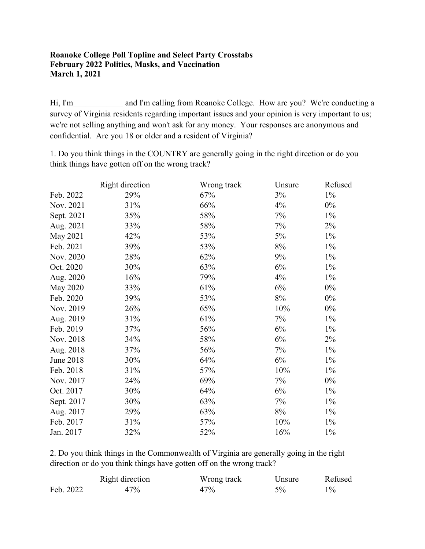#### **Roanoke College Poll Topline and Select Party Crosstabs February 2022 Politics, Masks, and Vaccination March 1, 2021**

Hi, I'm and I'm calling from Roanoke College. How are you? We're conducting a survey of Virginia residents regarding important issues and your opinion is very important to us; we're not selling anything and won't ask for any money. Your responses are anonymous and confidential. Are you 18 or older and a resident of Virginia?

1. Do you think things in the COUNTRY are generally going in the right direction or do you think things have gotten off on the wrong track?

|            | Right direction | Wrong track | Unsure | Refused |
|------------|-----------------|-------------|--------|---------|
| Feb. 2022  | 29%             | 67%         | $3\%$  | $1\%$   |
| Nov. 2021  | 31%             | 66%         | 4%     | $0\%$   |
| Sept. 2021 | 35%             | 58%         | 7%     | $1\%$   |
| Aug. 2021  | 33%             | 58%         | 7%     | $2\%$   |
| May 2021   | 42%             | 53%         | 5%     | $1\%$   |
| Feb. 2021  | 39%             | 53%         | 8%     | $1\%$   |
| Nov. 2020  | 28%             | 62%         | 9%     | $1\%$   |
| Oct. 2020  | 30%             | 63%         | 6%     | $1\%$   |
| Aug. 2020  | 16%             | 79%         | 4%     | $1\%$   |
| May 2020   | 33%             | 61%         | 6%     | $0\%$   |
| Feb. 2020  | 39%             | 53%         | $8\%$  | $0\%$   |
| Nov. 2019  | 26%             | 65%         | 10%    | $0\%$   |
| Aug. 2019  | 31%             | 61%         | 7%     | $1\%$   |
| Feb. 2019  | 37%             | 56%         | 6%     | $1\%$   |
| Nov. 2018  | 34%             | 58%         | 6%     | 2%      |
| Aug. 2018  | 37%             | 56%         | 7%     | $1\%$   |
| June 2018  | 30%             | 64%         | 6%     | $1\%$   |
| Feb. 2018  | 31%             | 57%         | 10%    | $1\%$   |
| Nov. 2017  | 24%             | 69%         | 7%     | $0\%$   |
| Oct. 2017  | 30%             | 64%         | 6%     | $1\%$   |
| Sept. 2017 | 30%             | 63%         | 7%     | $1\%$   |
| Aug. 2017  | 29%             | 63%         | 8%     | $1\%$   |
| Feb. 2017  | 31%             | 57%         | 10%    | $1\%$   |
| Jan. 2017  | 32%             | 52%         | 16%    | $1\%$   |

2. Do you think things in the Commonwealth of Virginia are generally going in the right direction or do you think things have gotten off on the wrong track?

|           | Right direction | Wrong track | Unsure | Refused |
|-----------|-----------------|-------------|--------|---------|
| Feb. 2022 | 47%             | 47%         | $5\%$  | 10/2    |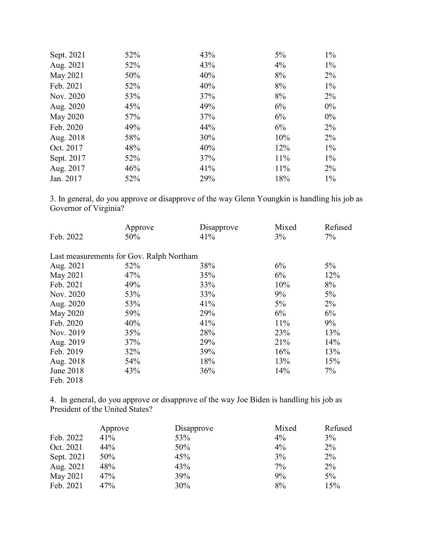| Sept. 2021 | 52% | 43% | 5%  | $1\%$ |
|------------|-----|-----|-----|-------|
| Aug. 2021  | 52% | 43% | 4%  | $1\%$ |
| May 2021   | 50% | 40% | 8%  | $2\%$ |
| Feb. 2021  | 52% | 40% | 8%  | $1\%$ |
| Nov. 2020  | 53% | 37% | 8%  | $2\%$ |
| Aug. 2020  | 45% | 49% | 6%  | $0\%$ |
| May 2020   | 57% | 37% | 6%  | $0\%$ |
| Feb. 2020  | 49% | 44% | 6%  | $2\%$ |
| Aug. 2018  | 58% | 30% | 10% | $2\%$ |
| Oct. 2017  | 48% | 40% | 12% | $1\%$ |
| Sept. 2017 | 52% | 37% | 11% | $1\%$ |
| Aug. 2017  | 46% | 41% | 11% | $2\%$ |
| Jan. 2017  | 52% | 29% | 18% | $1\%$ |

3. In general, do you approve or disapprove of the way Glenn Youngkin is handling his job as Governor of Virginia?

|           | Approve                                  | Disapprove | Mixed | Refused |
|-----------|------------------------------------------|------------|-------|---------|
| Feb. 2022 | 50%                                      | 41%        | 3%    | 7%      |
|           | Last measurements for Gov. Ralph Northam |            |       |         |
| Aug. 2021 | 52%                                      | 38%        | 6%    | $5\%$   |
| May 2021  | 47%                                      | 35%        | 6%    | 12%     |
| Feb. 2021 | 49%                                      | 33%        | 10%   | 8%      |
| Nov. 2020 | 53%                                      | 33%        | 9%    | $5\%$   |
| Aug. 2020 | 53%                                      | 41%        | $5\%$ | $2\%$   |
| May 2020  | 59%                                      | 29%        | 6%    | 6%      |
| Feb. 2020 | 40%                                      | 41%        | 11%   | 9%      |
| Nov. 2019 | 35%                                      | 28%        | 23%   | 13%     |
| Aug. 2019 | 37%                                      | 29%        | 21%   | 14%     |
| Feb. 2019 | 32%                                      | 39%        | 16%   | 13%     |
| Aug. 2018 | 54%                                      | 18%        | 13%   | 15%     |
| June 2018 | 43%                                      | 36%        | 14%   | 7%      |
| Feb. 2018 |                                          |            |       |         |

4. In general, do you approve or disapprove of the way Joe Biden is handling his job as President of the United States?

|            | Approve | Disapprove | Mixed | Refused |
|------------|---------|------------|-------|---------|
| Feb. 2022  | 41%     | 53%        | $4\%$ | 3%      |
| Oct. 2021  | 44%     | 50%        | $4\%$ | $2\%$   |
| Sept. 2021 | 50%     | 45%        | 3%    | $2\%$   |
| Aug. 2021  | 48%     | 43%        | $7\%$ | $2\%$   |
| May 2021   | 47%     | 39%        | 9%    | 5%      |
| Feb. 2021  | 47%     | 30%        | 8%    | 15%     |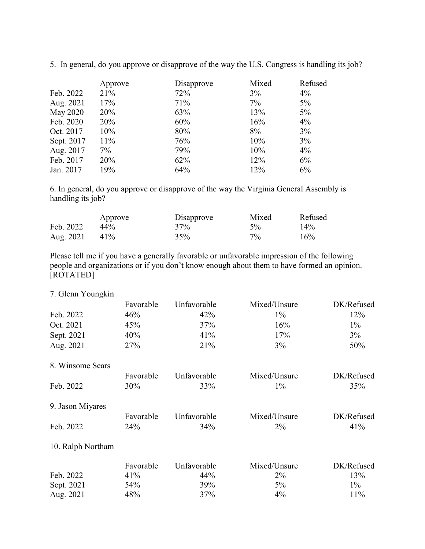|            | Approve | Disapprove | Mixed | Refused |
|------------|---------|------------|-------|---------|
| Feb. 2022  | 21%     | 72%        | 3%    | $4\%$   |
| Aug. 2021  | 17%     | 71%        | $7\%$ | $5\%$   |
| May 2020   | 20%     | 63%        | 13%   | $5\%$   |
| Feb. 2020  | 20%     | 60%        | 16%   | $4\%$   |
| Oct. 2017  | 10%     | 80%        | 8%    | 3%      |
| Sept. 2017 | 11%     | 76%        | 10%   | 3%      |
| Aug. 2017  | $7\%$   | 79%        | 10%   | $4\%$   |
| Feb. 2017  | 20%     | 62%        | 12%   | 6%      |
| Jan. 2017  | 19%     | 64%        | 12%   | 6%      |

5. In general, do you approve or disapprove of the way the U.S. Congress is handling its job?

6. In general, do you approve or disapprove of the way the Virginia General Assembly is handling its job?

|           | Approve | Disapprove | Mixed | Refused |
|-----------|---------|------------|-------|---------|
| Feb. 2022 | $44\%$  | 37%        | $5\%$ | 14%     |
| Aug. 2021 | 41%     | 35%        | $7\%$ | 16%     |

Please tell me if you have a generally favorable or unfavorable impression of the following people and organizations or if you don't know enough about them to have formed an opinion. [ROTATED]

## 7. Glenn Youngkin Favorable Unfavorable Mixed/Unsure DK/Refused Feb. 2022  $46\%$   $42\%$   $1\%$  12% Oct. 2021 45% 45% 37% 16% 16% 1% Sept. 2021 40% 41% 17% 3% Aug. 2021 27% 21% 21% 3% 3% 50% 8. Winsome Sears Favorable Unfavorable Mixed/Unsure DK/Refused Feb. 2022  $30\%$   $33\%$   $1\%$   $35\%$ 9. Jason Miyares Favorable Unfavorable Mixed/Unsure DK/Refused Feb. 2022 24% 24% 34% 2% 2% 41% 10. Ralph Northam Favorable Unfavorable Mixed/Unsure DK/Refused Feb. 2022  $41\%$   $44\%$   $2\%$   $13\%$ Sept. 2021 54% 54% 39% 5% 5% 5% 1% Aug. 2021 48% 37% 4% 4% 11%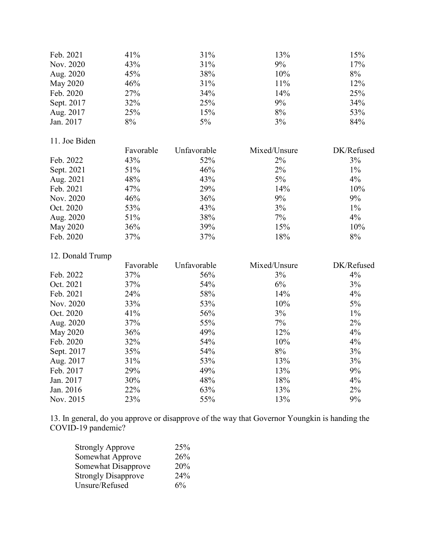| Feb. 2021        | 41%       | 31%         | 13%          | 15%        |
|------------------|-----------|-------------|--------------|------------|
| Nov. 2020        | 43%       | 31%         | 9%           | 17%        |
| Aug. 2020        | 45%       | 38%         | 10%          | $8\%$      |
| <b>May 2020</b>  | 46%       | 31%         | 11%          | 12%        |
| Feb. 2020        | 27%       | 34%         | 14%          | 25%        |
| Sept. 2017       | 32%       | 25%         | 9%           | 34%        |
| Aug. 2017        | 25%       | 15%         | $8\%$        | 53%        |
| Jan. 2017        | $8\%$     | 5%          | 3%           | 84%        |
| 11. Joe Biden    |           |             |              |            |
|                  | Favorable | Unfavorable | Mixed/Unsure | DK/Refused |
| Feb. 2022        | 43%       | 52%         | 2%           | 3%         |
| Sept. 2021       | 51%       | 46%         | 2%           | $1\%$      |
| Aug. 2021        | 48%       | 43%         | 5%           | 4%         |
| Feb. 2021        | 47%       | 29%         | 14%          | 10%        |
| Nov. 2020        | 46%       | 36%         | 9%           | 9%         |
| Oct. 2020        | 53%       | 43%         | 3%           | $1\%$      |
| Aug. 2020        | 51%       | 38%         | 7%           | 4%         |
| <b>May 2020</b>  | 36%       | 39%         | 15%          | 10%        |
| Feb. 2020        | 37%       | 37%         | 18%          | $8\%$      |
| 12. Donald Trump |           |             |              |            |
|                  | Favorable | Unfavorable | Mixed/Unsure | DK/Refused |
| Feb. 2022        | 37%       | 56%         | 3%           | 4%         |
| Oct. 2021        | 37%       | 54%         | 6%           | 3%         |
| Feb. 2021        | 24%       | 58%         | 14%          | 4%         |
| Nov. 2020        | 33%       | 53%         | 10%          | $5\%$      |
| Oct. 2020        | 41%       | 56%         | 3%           | $1\%$      |
| Aug. 2020        | 37%       | 55%         | 7%           | 2%         |
| <b>May 2020</b>  | 36%       | 49%         | 12%          | 4%         |
| Feb. 2020        | 32%       | 54%         | 10%          | 4%         |
| Sept. 2017       | 35%       | 54%         | $8\%$        | 3%         |
| Aug. 2017        | 31%       | 53%         | 13%          | 3%         |
| Feb. 2017        | 29%       | 49%         | 13%          | 9%         |
| Jan. 2017        | 30%       | 48%         | 18%          | 4%         |
| Jan. 2016        | 22%       | 63%         | 13%          | 2%         |
| Nov. 2015        | 23%       | 55%         | 13%          | 9%         |

13. In general, do you approve or disapprove of the way that Governor Youngkin is handing the COVID-19 pandemic?

| <b>Strongly Approve</b>    | 25% |
|----------------------------|-----|
| Somewhat Approve           | 26% |
| Somewhat Disapprove        | 20% |
| <b>Strongly Disapprove</b> | 24% |
| Unsure/Refused             | 6%  |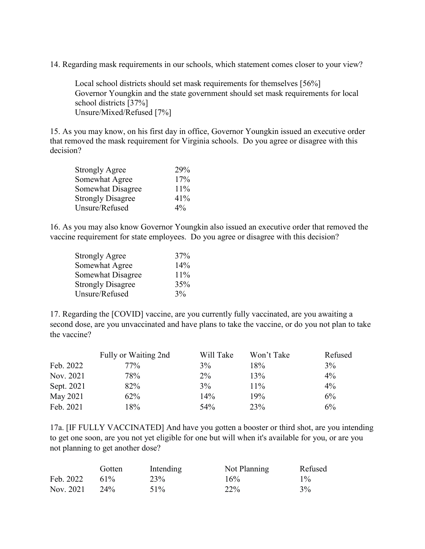14. Regarding mask requirements in our schools, which statement comes closer to your view?

Local school districts should set mask requirements for themselves [56%] Governor Youngkin and the state government should set mask requirements for local school districts [37%] Unsure/Mixed/Refused [7%]

15. As you may know, on his first day in office, Governor Youngkin issued an executive order that removed the mask requirement for Virginia schools. Do you agree or disagree with this decision?

| <b>Strongly Agree</b>    | 29%   |
|--------------------------|-------|
| Somewhat Agree           | 17%   |
| Somewhat Disagree        | 11%   |
| <b>Strongly Disagree</b> | 41%   |
| Unsure/Refused           | $4\%$ |

16. As you may also know Governor Youngkin also issued an executive order that removed the vaccine requirement for state employees. Do you agree or disagree with this decision?

| <b>Strongly Agree</b>    | 37% |
|--------------------------|-----|
| Somewhat Agree           | 14% |
| Somewhat Disagree        | 11% |
| <b>Strongly Disagree</b> | 35% |
| Unsure/Refused           | 3%  |

17. Regarding the [COVID] vaccine, are you currently fully vaccinated, are you awaiting a second dose, are you unvaccinated and have plans to take the vaccine, or do you not plan to take the vaccine?

|            | Fully or Waiting 2nd | Will Take | Won't Take | Refused |
|------------|----------------------|-----------|------------|---------|
| Feb. 2022  | 77%                  | 3%        | 18%        | $3\%$   |
| Nov. 2021  | 78%                  | $2\%$     | 13%        | $4\%$   |
| Sept. 2021 | 82%                  | $3\%$     | $11\%$     | $4\%$   |
| May 2021   | 62%                  | 14%       | 19%        | 6%      |
| Feb. 2021  | 18%                  | 54%       | 23%        | 6%      |

17a. [IF FULLY VACCINATED] And have you gotten a booster or third shot, are you intending to get one soon, are you not yet eligible for one but will when it's available for you, or are you not planning to get another dose?

|           | Gotten | Intending | Not Planning | Refused |
|-----------|--------|-----------|--------------|---------|
| Feb. 2022 | 61%    | 23\%      | 16%          | $1\%$   |
| Nov. 2021 | 24%    | 51%       | 22%          | $3\%$   |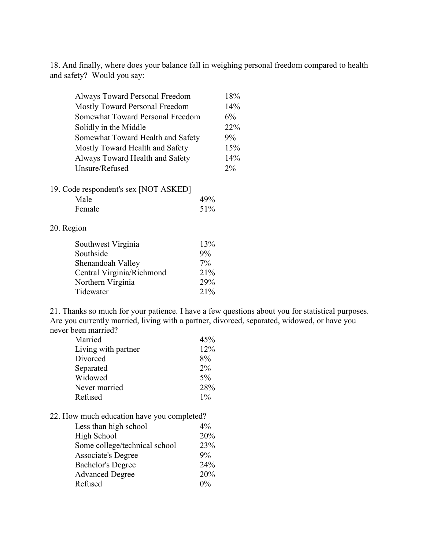18. And finally, where does your balance fall in weighing personal freedom compared to health and safety? Would you say:

| Always Toward Personal Freedom    | 18%   |
|-----------------------------------|-------|
| Mostly Toward Personal Freedom    | 14%   |
| Somewhat Toward Personal Freedom  | $6\%$ |
| Solidly in the Middle             | 22%   |
| Somewhat Toward Health and Safety | $9\%$ |
| Mostly Toward Health and Safety   | 15%   |
| Always Toward Health and Safety   | 14%   |
| Unsure/Refused                    | 2%    |

|  | 19. Code respondent's sex [NOT ASKED] |
|--|---------------------------------------|
|  |                                       |

| Male   | 49% |
|--------|-----|
| Female | 51% |

#### 20. Region

| 13%   |
|-------|
| 9%    |
| $7\%$ |
| 21%   |
| 29%   |
| 21%   |
|       |

21. Thanks so much for your patience. I have a few questions about you for statistical purposes. Are you currently married, living with a partner, divorced, separated, widowed, or have you never been married?

| Married             | 45%   |
|---------------------|-------|
| Living with partner | 12%   |
| Divorced            | 8%    |
| Separated           | $2\%$ |
| Widowed             | $5\%$ |
| Never married       | 28%   |
| Refused             | $1\%$ |

### 22. How much education have you completed?

| Less than high school         | $4\%$ |
|-------------------------------|-------|
| High School                   | 20%   |
| Some college/technical school | 23%   |
| <b>Associate's Degree</b>     | $9\%$ |
| <b>Bachelor's Degree</b>      | 24%   |
| <b>Advanced Degree</b>        | 20%   |
| Refused                       | $0\%$ |
|                               |       |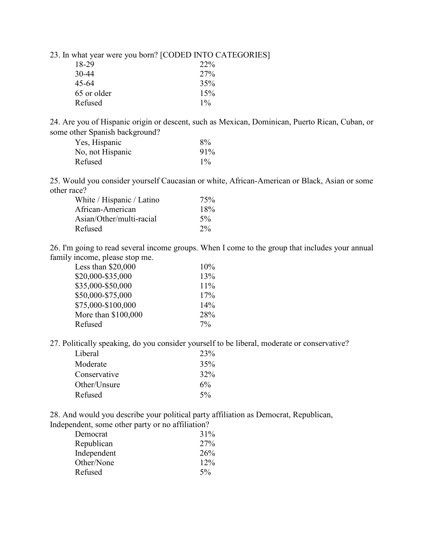23. In what year were you born? [CODED INTO CATEGORIES]

| 18-29       | 22%   |
|-------------|-------|
| $30-44$     | 27%   |
| 45-64       | 35%   |
| 65 or older | 15%   |
| Refused     | $1\%$ |

24. Are you of Hispanic origin or descent, such as Mexican, Dominican, Puerto Rican, Cuban, or some other Spanish background?

| Yes, Hispanic    | 8%    |
|------------------|-------|
| No, not Hispanic | 91%   |
| Refused          | $1\%$ |

25. Would you consider yourself Caucasian or white, African-American or Black, Asian or some other race?

| White / Hispanic / Latino | 75%   |
|---------------------------|-------|
| African-American          | 18%   |
| Asian/Other/multi-racial  | $5\%$ |
| Refused                   | $2\%$ |

26. I'm going to read several income groups. When I come to the group that includes your annual family income, please stop me.

| Less than $$20,000$ | 10%   |
|---------------------|-------|
| \$20,000-\$35,000   | 13%   |
| \$35,000-\$50,000   | 11%   |
| \$50,000-\$75,000   | 17%   |
| \$75,000-\$100,000  | 14%   |
| More than \$100,000 | 28%   |
| Refused             | $7\%$ |
|                     |       |

27. Politically speaking, do you consider yourself to be liberal, moderate or conservative?

| Liberal      | 23%   |
|--------------|-------|
| Moderate     | 35%   |
| Conservative | 32%   |
| Other/Unsure | $6\%$ |
| Refused      | $5\%$ |
|              |       |

28. And would you describe your political party affiliation as Democrat, Republican, Independent, some other party or no affiliation?

| Democrat    | 31%   |
|-------------|-------|
| Republican  | 27%   |
| Independent | 26%   |
| Other/None  | 12%   |
| Refused     | $5\%$ |
|             |       |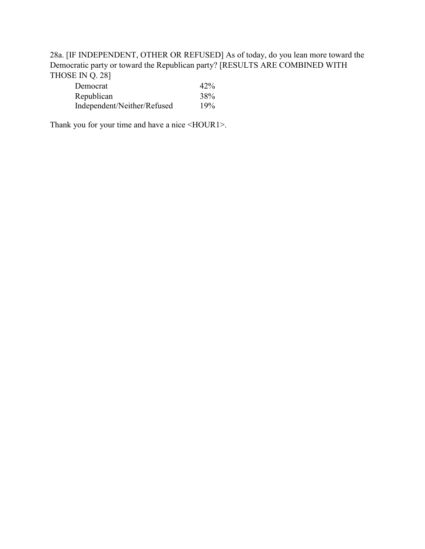28a. [IF INDEPENDENT, OTHER OR REFUSED] As of today, do you lean more toward the Democratic party or toward the Republican party? [RESULTS ARE COMBINED WITH THOSE IN Q. 28]

| Democrat                    | 42% |
|-----------------------------|-----|
| Republican                  | 38% |
| Independent/Neither/Refused | 19% |

Thank you for your time and have a nice <HOUR1>.